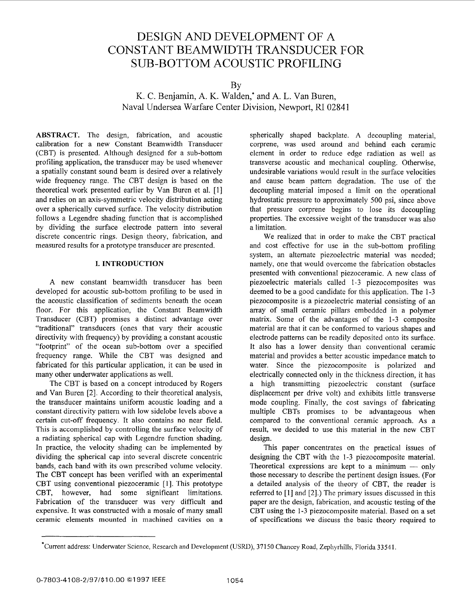# DESIGN AND DEVELOPMENT OF **A**  CONSTANT BEAMWIDTH TRANSDUCER FOR SUB-BOTTOM ACOUSTIC PROFILING

BY

K. C. Benjamin, **A.** K. Walden,' and **A.** L. Van Buren, Naval Undersea Warfare Center Division, Newport, RI 02841

**ABSTRACT.** The design, fabrication, and acoustic calibration for a new Constant Beamwidth Transducer (CBT) is presented. Although designed for a sub-bottom profiling application, the transducer may be used whenever a spatially constant sound beam is desired over a relatively wide frequency range. The CBT design is based on the theoretical work presented earlier by Van Buren et al. [l] and relies on an axis-symmetric velocity distribution acting over a spherically curved surface. The velocity distribution follows a Legendre shading function that is accomplished by dividing the surface electrode pattern into severai discrete concentric rings. Design theory, fabrication, and measured results for a prototype transducer are presented.

## **1. INTRODUCTION**

A new constant beamwidth transducer has been developed for acoustic sub-bottom profiling to be used in the acoustic classification of sediments beneath the ocean floor. For this application, the Constant Beamwidth Transducer (CBT) promises a distinct advantage over "traditional" transducers (ones that vary their acoustic directivity with frequency) by providing a constant acoustic "footprint" of the ocean sub-bottom over a specified frequency range. While the CBT was designed and fabricated for this particular application, it can be used in many other underwater applications as well.

The CBT is based on a concept introduced by Rogers and Van Buren *[2].* According to their theoretical analysis, the transducer maintains uniform acoustic loading and a constant directivity pattern with low sidelobe levels above a certain cut-off frequency. It also contains no near field. This is accomplished by controlling the surface velocity of a radiating spherical cap with Legendre function shading. In practice, the velocity shading can be implemented by dividing the spherical cap into several discrete concentric bands, each band with its own prescribed volume velocity. The CBT concept has been verified with an experimental CBT using conventional piezoceramic [1]. This prototype CBT, however, had some significant limitations. Fabrication of the transducer was very difficult and expensive. It was constructed with a mosaic of many small ceramic elements mounted in machined cavities on a

spherically shaped backplate. A decoupling material, corprene, was used around and behind each ceramic element in order to reduce edge radiation as well as transverse acoustic and mechanical coupling. Otherwise, undesirable variations would result in the surface velocities and cause beam pattern degradation. The use of the decoupling material imposed a limit on the operational hydrostatic pressure to approximately 500 psi, since above that pressure corprene begins to lose its decoupling properties. The excessive weight of the transducer was also a limitation.

We realized that in order to make the CBT practical and cost effective for use in the sub-bottom profiling system, an alternate piezoelectric material was needed; namely, one that would overcome the fabrication obstacles presented with conventional piezoceramic. **A** new class of piezoelectric materials called 1-3 piezocomposites was deemed to be a good candidate for this application. The 1-3 piezocomposite is a piezoelectric material consisting of an array of small ceramic pillars embedded in a polymer matrix. Some of the advantages of the 1-3 composite material are that it can be conformed to various shapes and electrode patterns can be readily deposited onto its surface. It also has a lower density than conventional ceramic material and provides a better acoustic impedance match to water. Since the piezocomposite is polarized and electrically connected only in the thickness direction, it has a high transmitting piezoelectric constant (surface displacement per drive volt) and exhibits little transverse mode coupling. Finally, the cost savings of fabricating multiple CBTs promises to be advantageous when compared to the conventional ceramic approach. **As** a result, we decided to use this material in the new CBT design.

This paper concentrates on the practical issues of designing the CBT with the 1-3 piezocomposite material. This paper concentrates on the practical issues of designing the CBT with the  $1-3$  piezocomposite material.<br>Theoretical expressions are kept to a minimum — only those necessary to describe the pertinent design issues. (For a detailed analysis of the theory of CBT, the reader is referred to [I] and [2].) The primary issues discussed in this paper are the design, fabrication, and acoustic testing of the CBT using the 1-3 piezocomposite material. Based on a set of specifications we discuss the basic theory required to

<sup>\*</sup>Current address: Underwater Science, Research and Development (USRD), **37** 150 Chancey Road, Zephyrhills, Florida **3354** I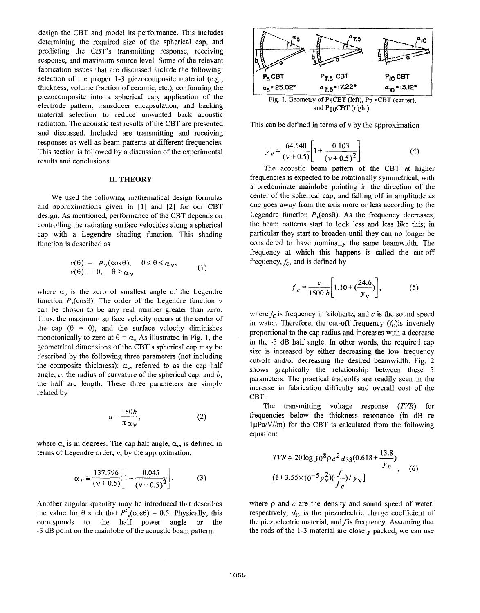design the CBT and model its performance. This includes determining the required size of the spherical cap, and predicting the CBT's transmitting response, receiving response, and maximum source level. Some of the relevant fabrication issues that are discussed include the following: selection of the proper 1-3 piezocomposite material (e.g., thickness, volume fraction of ceramic, etc.), conforming the piezocomposite into a spherical cap, application of the electrode pattem, transducer encapsulation, and backing material selection to reduce unwanted back acoustic radiation. The acoustic test results of the CBT are presented and discussed. Included are transmitting and receiving responses as well as beam patterns at different frequencies. This section is followed by a discussion of the experimental results and conclusions.

#### **11. THEORY**

We used the following mathematical design formulas and approximations given in [l] and [2] for our CBT design. As mentioned, performance of the CBT depends on controlling the radiating surface velocities along a spherical cap with a Legendre shading function. This shading function is described as

$$
\nu(\theta) = P_V(\cos \theta), \quad 0 \le \theta \le \alpha_V, \n\nu(\theta) = 0, \quad \theta \ge \alpha_V
$$
\n(1)

where  $\alpha_{v}$  is the zero of smallest angle of the Legendre function  $P_{\nu}(\cos\theta)$ . The order of the Legendre function v can be chosen to be any real number greater than zero. Thus, the maximum surface velocity occurs at the center of the cap  $(\theta = 0)$ , and the surface velocity diminishes monotonically to zero at  $\theta = \alpha_v$ . As illustrated in Fig. 1, the geometrical dimensions of the CBT's spherical cap may be described by the following three parameters (not including the composite thickness):  $\alpha_{\nu}$ , referred to as the cap half angle; *a,* the radius of curvature of the spherical cap; and *b,*  the half arc length. These three parameters are simply related by

$$
a = \frac{180b}{\pi \alpha \nu},\tag{2}
$$

where  $\alpha_{v}$  is in degrees. The cap half angle,  $\alpha_{v}$ , is defined in terms of Legendre order, v, by the approximation,

$$
\alpha_{\nu} \approx \frac{137.796}{(\nu + 0.5)} \left[ 1 - \frac{0.045}{(\nu + 0.5)^2} \right].
$$
 (3)

Another angular quantity may be introduced that describes the value for  $\theta$  such that  $P^2(\cos \theta) = 0.5$ . Physically, this corresponds to the half power angle or the -3 dB point on the mainlobe of the acoustic beam pattern.



This can be defined in terms of  $\nu$  by the approximation

$$
y_{\nu} \approx \frac{64.540}{(\nu + 0.5)} \left[ 1 + \frac{0.103}{(\nu + 0.5)^2} \right].
$$
 (4)

The acoustic beam pattern of the CBT at higher frequencies is expected to be rotationally symmetrical, with a predominate mainlobe pointing in the direction of the center of the spherical cap, and falling off in amplitude as one goes away from the axis more or less according to the Legendre function  $P_{\nu}(\cos\theta)$ . As the frequency decreases, the beam patterns start to look less and less like this; in particular they start to broaden until they can no longer be considered to have nominally the same beamwidth. The frequency at which this happens is called the cut-off frequency, *fc,* and is defined by

$$
f_c = \frac{c}{1500 \ b} \left[ 1.10 + \left( \frac{24.6}{y_v} \right) \right],\tag{5}
$$

where  $f_c$  is frequency in kilohertz, and  $c$  is the sound speed in water. Therefore, the cut-off frequency  $(f<sub>c</sub>)$  is inversely proportional to the cap radius and increases with a decrease in the -3 dB half angle. In other words, the required cap size is increased by either decreasing the low frequency cut-off and/or decreasing the desired beamwidth. [Fig. 2](#page-2-0) shows graphically the relationship between these 3 parameters. The practical tradeoffs are readily seen in the increase in fabrication difficulty and overall cost of the CBT.

The transmitting voltage response *(TVR)* for frequencies below the thickness resonance (in dB re  $1\mu\text{Pa/V}/\text{m}$ ) for the CBT is calculated from the following equation:

$$
TVR \approx 20 \log[10^8 \rho_c^2 d_{33}(0.618 + \frac{13.8}{y_n})
$$
  
(1+3.55×10<sup>-5</sup>y<sub>v</sub><sup>2</sup>)( $\frac{f}{f_c}$ )/y<sub>v</sub>] (6)

where  $\rho$  and  $c$  are the density and sound speed of water, respectively,  $d_{33}$  is the piezoelectric charge coefficient of the piezoelectric material, **andfis frequency. Assuming** that the rods of the 1-3 material are closely packed, we can use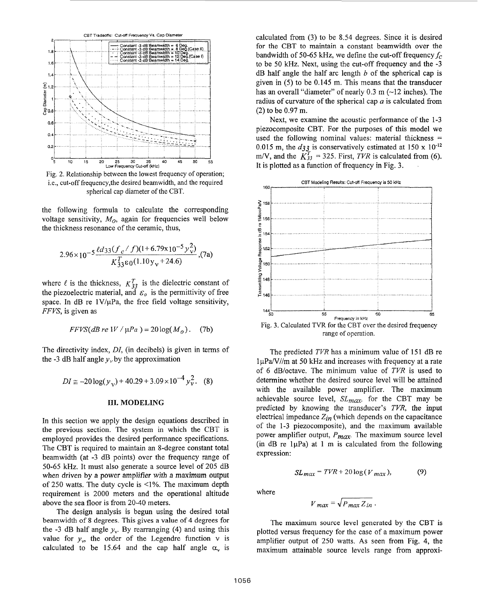<span id="page-2-0"></span>

Fig. 2. Relationship between the lowest frequency of operation; i.e., cut-off frequency, the desired beamwidth, and the required spherical cap diameter of the CBT.

the following formula to calculate the corresponding voltage sensitivity,  $M<sub>O</sub>$ , again for frequencies well below the thickness resonance of the ceramic, thus,

$$
2.96 \times 10^{-5} \frac{\ell d_{33}(f_c/f)(1+6.79 \times 10^{-5} y_v^2)}{K_{33}^T \epsilon_0 (1.10 y_v + 24.6)},
$$
 (7a)

where  $\ell$  is the thickness,  $K_{33}^T$  is the dielectric constant of the piezoelectric material, and  $\varepsilon_0$  is the permittivity of free space. In dB re 1V/µPa, the free field voltage sensitivity, FFVS, is given as

$$
FFVS(dB \, re \, 1V / \mu Pa) = 20 \log(M_o). \quad (7b)
$$

The directivity index, *DI*, (in decibels) is given in terms of the -3 dB half angle  $y_v$  by the approximation

$$
DI \cong -20\log(y_{\rm v}) + 40.29 + 3.09 \times 10^{-4} y_{\rm v}^2. \tag{8}
$$

#### **III. MODELING**

In this section we apply the design equations described in the previous section. The system in which the CBT is employed provides the desired performance specifications. The CBT is required to maintain an 8-degree constant total beamwidth (at -3 dB points) over the frequency range of 50-65 kHz. It must also generate a source level of 205 dB when driven by a power amplifier with a maximum output of 250 watts. The duty cycle is  $\leq$ 1%. The maximum depth requirement is 2000 meters and the operational altitude above the sea floor is from 20-40 meters.

The design analysis is begun using the desired total beamwidth of 8 degrees. This gives a value of 4 degrees for the -3 dB half angle  $y_v$ . By rearranging (4) and using this value for  $y_{\nu}$ , the order of the Legendre function  $\nu$  is calculated to be 15.64 and the cap half angle  $\alpha_v$  is

calculated from (3) to be 8.54 degrees. Since it is desired for the CBT to maintain a constant beamwidth over the bandwidth of 50-65 kHz, we define the cut-off frequency  $f_c$ to be 50 kHz. Next, using the cut-off frequency and the -3  $\Delta$  dB half angle the half arc length b of the spherical cap is given in  $(5)$  to be 0.145 m. This means that the transducer has an overall "diameter" of nearly 0.3 m  $(-12$  inches). The radius of curvature of the spherical cap  $a$  is calculated from  $(2)$  to be 0.97 m.

Next. we examine the acoustic performance of the 1-3 piezocomposite CBT. For the purposes of this model we used the following nominal values: material thickness = 0.015 m, the  $d33$  is conservatively estimated at 150 x 10<sup>-12</sup> m/V, and the  $K_{33}^T$  = 325. First, TVR is calculated from (6). It is plotted as a function of frequency in Fig. 3.



range of operation.

The predicted TVR has a minimum value of 151 dB re  $1\mu\text{Pa/V}$  at 50 kHz and increases with frequency at a rate of 6 dB/octave. The minimum value of  $TVR$  is used to determine whether the desired source level will be attained with the available power amplifier. The maximum achievable source level,  $SL_{max}$ , for the CBT may be predicted by knowing the transducer's TVR, the input electrical impedance  $Z_{in}$  (which depends on the capacitance of the 1-3 piezocomposite), and the maximum available power amplifier output,  $P_{max}$ . The maximum source level (in  $dB$  re  $1\mu Pa$ ) at 1 m is calculated from the following expression:

$$
SL_{max} = TVR + 20\log(V_{max}), \tag{9}
$$

where

$$
V_{max} = \sqrt{P_{max} Z_{in}}.
$$

The maximum source level generated by the CBT is plotted versus frequency for the case of a maximum power amplifier output of 250 watts. As seen from Fig. 4, the maximum attainable source levels range from approxi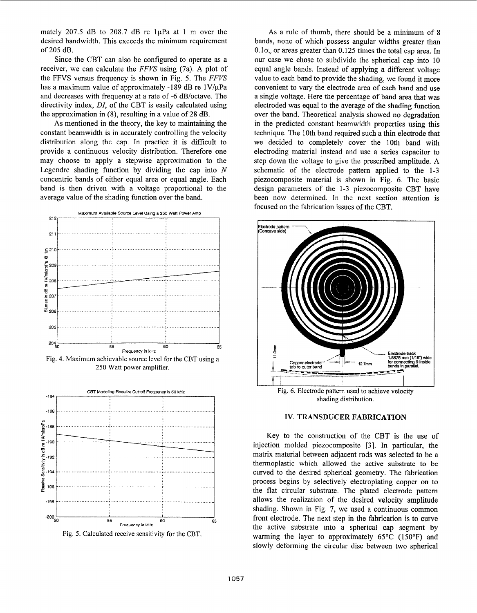mately 207.5 dB to 208.7 dB re  $1\mu$ Pa at 1 m over the desired bandwidth. This exceeds the minimum requirement of 205 dB.

Since the CBT can also be configured to operate as a receiver, we can calculate the *FFVS* using (7a). **A** plot of the FFVS versus frequency is shown in Fig. *5.* The *FFVS*  has a maximum value of approximately -189 dB re  $1 V/\mu Pa$ and decreases with frequency at a rate of -6 dB/octave. The directivity index, *DI*, of the CBT is easily calculated using the approximation in (8), resulting in a value of 28 dB.

**As** mentioned in the theory, the key to maintaining the constant beamwidth is in accurately controlling the velocity distribution along the cap. In practice it is difficult to provide a continuous velocity distribution. Therefore one may choose to apply a stepwise approximation to the Legendre shading function by dividing the cap into *N*  concentric bands of either equal area or equal angle. Each band is then driven with a voltage proportional to the average value of the shading function over the band.



Fig. **4.** Maximum achievable source level for the CBT using a 250 Watt power amplifier.



Fig. *5.* Calculated receive sensitivity for the CBT.

**-'84** ' As a rule of thumb, there should be a minimum of 8 bands, none of which possess angular widths greater than  $0.1\alpha$ , or areas greater than 0.125 times the total cap area. In our case we chose to subdivide the spherical cap into 10 equal angle bands. Instead of applying a different voltage value to each band to provide the shading, we found it more convenient to vary the electrode area of each band and use a single voltage. Here the percentage of band area that was electroded was equal to the average of the shading function over the band. Theoretical analysis showed no degradation in the predicted constant beamwidth properties using this technique. The 10th band required such **a** thin electrolde that we decided to completely cover the 10th band with electroding material instead and use a series capacitor to step down the voltage to give the prescribed amplitude. **A**  schematic of the electrode pattern applied to the 1-3 piezocomposite material is shown in Fig. 6. The basic design parameters of the 1-3 piezocomposite CBT have been now determined. In the next section attention is focused on the fabrication issues of the CBT.



shading distribution.

## **IV. TRANSDUCER FABRICATION**

Key to the construction of the CBT is the use of injection molded piezocomposite **[3].** In particular, the matrix material between adjacent rods was selected to be a thermoplastic which allowed the active substrate to be curved to the desired spherical geometry. The fabrication process begins by selectively electroplating copper on to the flat circular substrate. The plated electrode pattern allows the realization of the desired velocity amplitude shading. Shown in Fig. 7, we used a continuous common front electrode. The next step in the fabrication is to curve the active substrate into a spherical **cap** segment by warming the layer to approximately  $65^{\circ}$ C  $(150^{\circ}F)$  and slowly deforming the circular disc between two spherical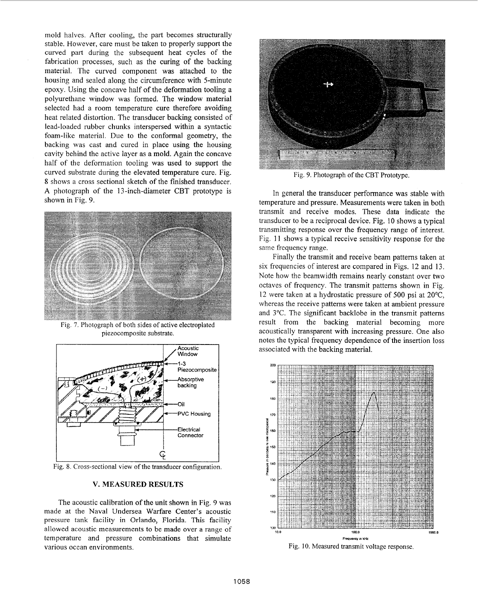mold halves. After cooling, the part becomes structurally stable. However, care must be taken to properly support the curved part during the subsequent heat cycles of the fabrication processes, such as the curing of the backing material. The curved component was attached to the housing and sealed along the circumference with 5-minute epoxy. Using the concave half of the deformation tooling a polyurethane window was formed. The window material selected had a room temperature cure therefore avoiding heat related distortion. The transducer backing consisted of lead-loaded rubber chunks interspersed within a syntactic foam-like material. Due to the conformal geometry, the backing was cast and cured in place using the housing cavity behind the active layer as a mold. Again the concave half of the deformation tooling was used to support the curved substrate during the elevated temperature cure. Fig. **8** shows a cross sectional sketch of the finished transducer. **A** photograph of the 13-inch-diameter CBT prototype is shown in Fig. 9.



Fig. 7. Photograph of both sides of active electroplated piezocomposite substrate.



Fig. *8.* Cross-sectional view of the transducer configuration.

#### **V. MEASURED RESULTS**

The acoustic calibration of the unit shown in Fig. **9** was made at the Naval Undersea Warfare Center's acoustic pressure tank facility in Orlando, Florida. **This** facility allowed acoustic measurements to be made over a range of temperature and pressure combinations that simulate various ocean environments.



Fig. 9. Photograph of the CBT Prototype.

In general the transducer performance was stable with temperature and pressure. Measurements were taken in both transmit and receive modes. These data indicate the transducer to be a reciprocal device. Fig. 10 shows a typical transmitting response over the frequency range of interest. Fig. 11 shows a typical receive sensitivity response for the same frequency range.

Finally the transmit and receive beam patterns taken at six frequencies of interest are compared in [Figs. 12](#page-5-0) and 13. Note how the beamwidth remains nearly constant over two octaves of frequency. The transmit patterns shown in [Fig.](#page-5-0) [12](#page-5-0) were taken at a hydrostatic pressure of 500 psi at 20 $^{\circ}$ C, whereas the receive patterns were taken at ambient pressure and 3°C. The significant backlobe in the transmit patterns result from the backing material becoming more acoustically transparent with increasing pressure. One also notes the typical frequency dependence of the insertion loss associated with the backing material.



Fig. 10. Measured transmit voltage response.